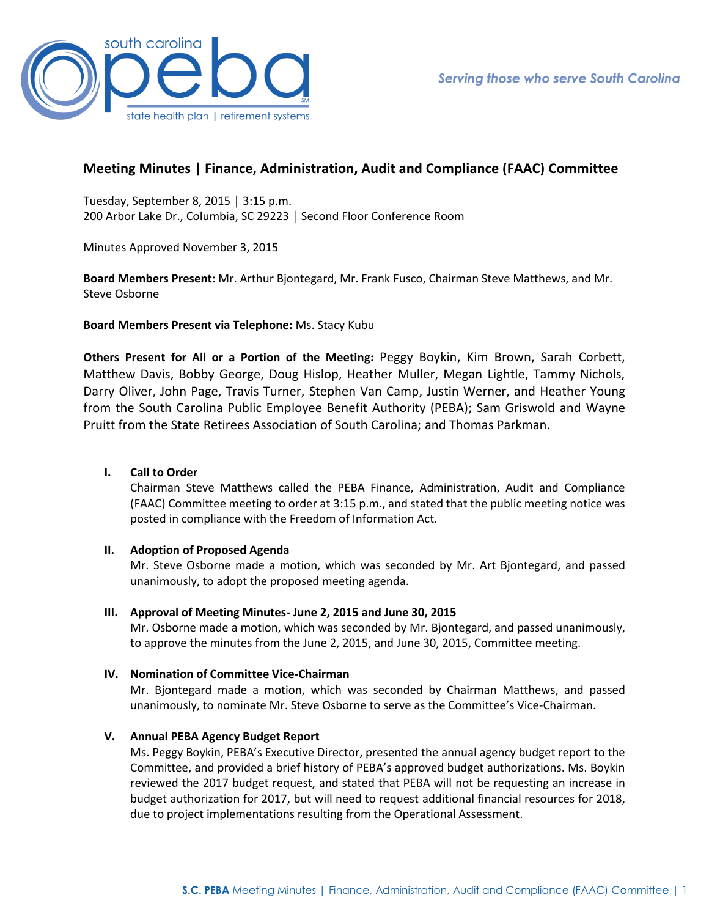

# **Meeting Minutes | Finance, Administration, Audit and Compliance (FAAC) Committee**

Tuesday, September 8, 2015 │ 3:15 p.m. 200 Arbor Lake Dr., Columbia, SC 29223 │ Second Floor Conference Room

Minutes Approved November 3, 2015

**Board Members Present:** Mr. Arthur Bjontegard, Mr. Frank Fusco, Chairman Steve Matthews, and Mr. Steve Osborne

**Board Members Present via Telephone:** Ms. Stacy Kubu

**Others Present for All or a Portion of the Meeting:** Peggy Boykin, Kim Brown, Sarah Corbett, Matthew Davis, Bobby George, Doug Hislop, Heather Muller, Megan Lightle, Tammy Nichols, Darry Oliver, John Page, Travis Turner, Stephen Van Camp, Justin Werner, and Heather Young from the South Carolina Public Employee Benefit Authority (PEBA); Sam Griswold and Wayne Pruitt from the State Retirees Association of South Carolina; and Thomas Parkman.

# **I. Call to Order**

Chairman Steve Matthews called the PEBA Finance, Administration, Audit and Compliance (FAAC) Committee meeting to order at 3:15 p.m., and stated that the public meeting notice was posted in compliance with the Freedom of Information Act.

# **II. Adoption of Proposed Agenda**

Mr. Steve Osborne made a motion, which was seconded by Mr. Art Bjontegard, and passed unanimously, to adopt the proposed meeting agenda.

# **III. Approval of Meeting Minutes- June 2, 2015 and June 30, 2015**

Mr. Osborne made a motion, which was seconded by Mr. Bjontegard, and passed unanimously, to approve the minutes from the June 2, 2015, and June 30, 2015, Committee meeting.

# **IV. Nomination of Committee Vice-Chairman**

Mr. Bjontegard made a motion, which was seconded by Chairman Matthews, and passed unanimously, to nominate Mr. Steve Osborne to serve as the Committee's Vice-Chairman.

# **V. Annual PEBA Agency Budget Report**

Ms. Peggy Boykin, PEBA's Executive Director, presented the annual agency budget report to the Committee, and provided a brief history of PEBA's approved budget authorizations. Ms. Boykin reviewed the 2017 budget request, and stated that PEBA will not be requesting an increase in budget authorization for 2017, but will need to request additional financial resources for 2018, due to project implementations resulting from the Operational Assessment.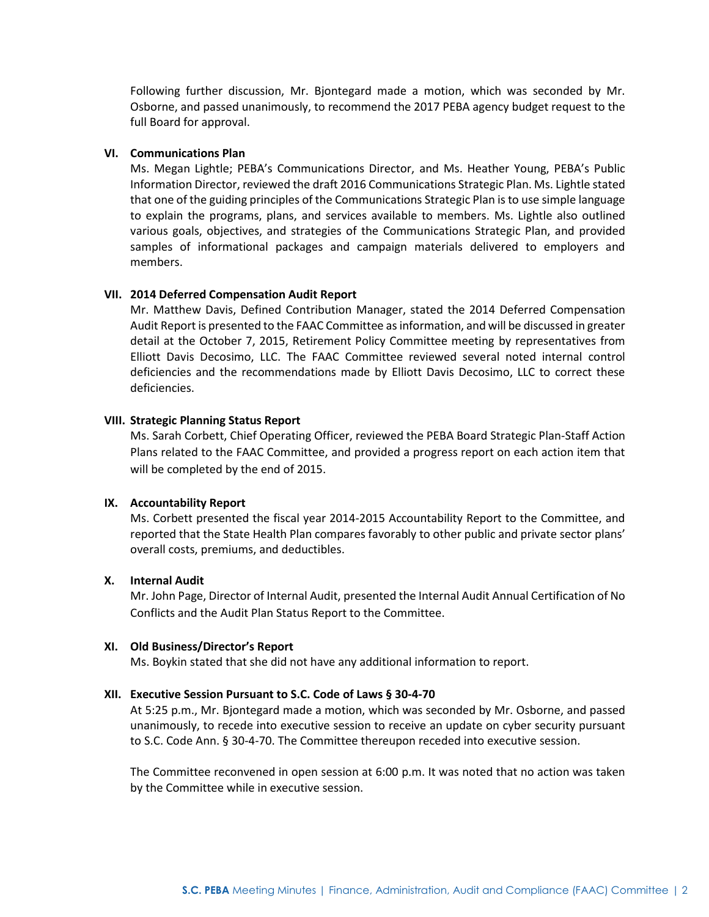Following further discussion, Mr. Bjontegard made a motion, which was seconded by Mr. Osborne, and passed unanimously, to recommend the 2017 PEBA agency budget request to the full Board for approval.

### **VI. Communications Plan**

Ms. Megan Lightle; PEBA's Communications Director, and Ms. Heather Young, PEBA's Public Information Director, reviewed the draft 2016 Communications Strategic Plan. Ms. Lightle stated that one of the guiding principles of the Communications Strategic Plan is to use simple language to explain the programs, plans, and services available to members. Ms. Lightle also outlined various goals, objectives, and strategies of the Communications Strategic Plan, and provided samples of informational packages and campaign materials delivered to employers and members.

#### **VII. 2014 Deferred Compensation Audit Report**

Mr. Matthew Davis, Defined Contribution Manager, stated the 2014 Deferred Compensation Audit Report is presented to the FAAC Committee as information, and will be discussed in greater detail at the October 7, 2015, Retirement Policy Committee meeting by representatives from Elliott Davis Decosimo, LLC. The FAAC Committee reviewed several noted internal control deficiencies and the recommendations made by Elliott Davis Decosimo, LLC to correct these deficiencies.

### **VIII. Strategic Planning Status Report**

Ms. Sarah Corbett, Chief Operating Officer, reviewed the PEBA Board Strategic Plan-Staff Action Plans related to the FAAC Committee, and provided a progress report on each action item that will be completed by the end of 2015.

### **IX. Accountability Report**

Ms. Corbett presented the fiscal year 2014-2015 Accountability Report to the Committee, and reported that the State Health Plan compares favorably to other public and private sector plans' overall costs, premiums, and deductibles.

# **X. Internal Audit**

Mr. John Page, Director of Internal Audit, presented the Internal Audit Annual Certification of No Conflicts and the Audit Plan Status Report to the Committee.

### **XI. Old Business/Director's Report**

Ms. Boykin stated that she did not have any additional information to report.

# **XII. Executive Session Pursuant to S.C. Code of Laws § 30-4-70**

At 5:25 p.m., Mr. Bjontegard made a motion, which was seconded by Mr. Osborne, and passed unanimously, to recede into executive session to receive an update on cyber security pursuant to S.C. Code Ann. § 30-4-70. The Committee thereupon receded into executive session.

The Committee reconvened in open session at 6:00 p.m. It was noted that no action was taken by the Committee while in executive session.